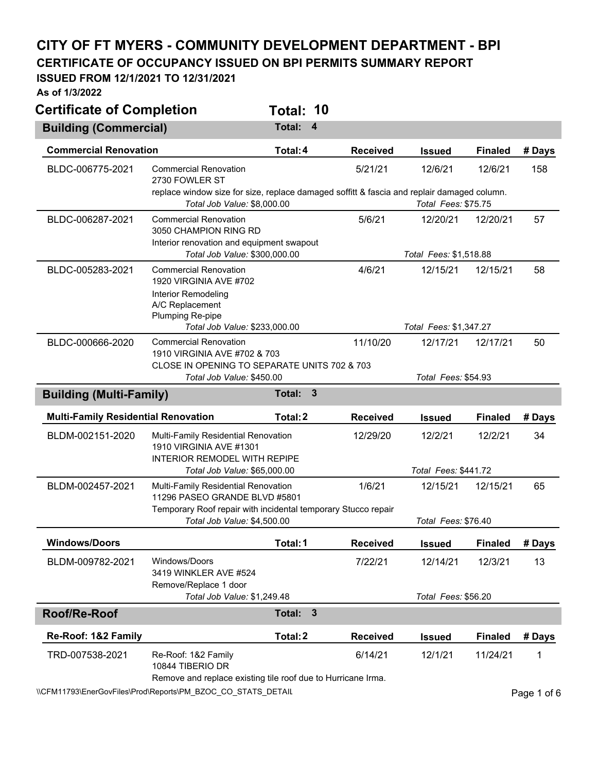## **CITY OF FT MYERS - COMMUNITY DEVELOPMENT DEPARTMENT - BPI**

**CERTIFICATE OF OCCUPANCY ISSUED ON BPI PERMITS SUMMARY REPORT** 

## **ISSUED FROM 12/1/2021 TO 12/31/2021**

**As of 1/3/2022** 

| <b>Certificate of Completion</b>           |                                                                                                                                                  | Total: 10 |                  |                      |                                 |                |        |
|--------------------------------------------|--------------------------------------------------------------------------------------------------------------------------------------------------|-----------|------------------|----------------------|---------------------------------|----------------|--------|
| <b>Building (Commercial)</b>               |                                                                                                                                                  | Total:    | $\boldsymbol{4}$ |                      |                                 |                |        |
| <b>Commercial Renovation</b>               |                                                                                                                                                  | Total: 4  |                  | <b>Received</b>      | <b>Issued</b>                   | <b>Finaled</b> | # Days |
| BLDC-006775-2021                           | <b>Commercial Renovation</b><br>2730 FOWLER ST                                                                                                   |           |                  | 5/21/21              | 12/6/21                         | 12/6/21        | 158    |
|                                            | replace window size for size, replace damaged soffitt & fascia and replair damaged column.<br>Total Job Value: \$8,000.00<br>Total Fees: \$75.75 |           |                  |                      |                                 |                |        |
| BLDC-006287-2021                           | <b>Commercial Renovation</b><br>3050 CHAMPION RING RD<br>Interior renovation and equipment swapout                                               |           |                  | 5/6/21               | 12/20/21                        | 12/20/21       | 57     |
|                                            | Total Job Value: \$300,000.00                                                                                                                    |           |                  |                      | Total Fees: \$1,518.88          |                |        |
| BLDC-005283-2021                           | <b>Commercial Renovation</b><br>1920 VIRGINIA AVE #702<br>Interior Remodeling<br>A/C Replacement<br>Plumping Re-pipe                             |           |                  | 4/6/21               | 12/15/21                        | 12/15/21       | 58     |
|                                            | Total Job Value: \$233,000.00                                                                                                                    |           |                  |                      | Total Fees: \$1,347.27          |                |        |
| BLDC-000666-2020                           | <b>Commercial Renovation</b><br>1910 VIRGINIA AVE #702 & 703<br>CLOSE IN OPENING TO SEPARATE UNITS 702 & 703<br>Total Job Value: \$450.00        |           |                  | 11/10/20             | 12/17/21<br>Total Fees: \$54.93 | 12/17/21       | 50     |
|                                            |                                                                                                                                                  | Total:    | 3                |                      |                                 |                |        |
| <b>Building (Multi-Family)</b>             |                                                                                                                                                  |           |                  |                      |                                 |                |        |
| <b>Multi-Family Residential Renovation</b> |                                                                                                                                                  | Total: 2  |                  | <b>Received</b>      | <b>Issued</b>                   | <b>Finaled</b> | # Days |
| BLDM-002151-2020                           | Multi-Family Residential Renovation<br>1910 VIRGINIA AVE #1301<br>INTERIOR REMODEL WITH REPIPE                                                   |           |                  | 12/29/20             | 12/2/21                         | 12/2/21        | 34     |
|                                            | Total Job Value: \$65,000.00                                                                                                                     |           |                  | Total Fees: \$441.72 |                                 |                |        |
| BLDM-002457-2021                           | Multi-Family Residential Renovation<br>11296 PASEO GRANDE BLVD #5801<br>Temporary Roof repair with incidental temporary Stucco repair            |           |                  | 1/6/21               | 12/15/21                        | 12/15/21       | 65     |
|                                            | Total Job Value: \$4,500.00                                                                                                                      |           |                  |                      | Total Fees: \$76.40             |                |        |
| <b>Windows/Doors</b>                       |                                                                                                                                                  | Total: 1  |                  | <b>Received</b>      | <b>Issued</b>                   | <b>Finaled</b> | # Days |
| BLDM-009782-2021                           | Windows/Doors<br>3419 WINKLER AVE #524<br>Remove/Replace 1 door                                                                                  |           |                  | 7/22/21              | 12/14/21                        | 12/3/21        | 13     |
|                                            | Total Job Value: \$1,249.48                                                                                                                      |           |                  |                      | Total Fees: \$56.20             |                |        |
| Roof/Re-Roof                               |                                                                                                                                                  | Total:    | 3                |                      |                                 |                |        |
| Re-Roof: 1&2 Family                        |                                                                                                                                                  | Total: 2  |                  | <b>Received</b>      | <b>Issued</b>                   | <b>Finaled</b> | # Days |
| TRD-007538-2021                            | Re-Roof: 1&2 Family<br>10844 TIBERIO DR<br>Remove and replace existing tile roof due to Hurricane Irma.                                          |           |                  | 6/14/21              | 12/1/21                         | 11/24/21       | 1      |

\\CFM11793\EnerGovFiles\Prod\Reports\PM\_BZOC\_CO\_STATS\_DETAIL\PhysicalCritics\PM\_BZOC\_CO\_STATS\_DETAIL\PhysicalCritics\PM\_BZOC\_CO\_STATS\_DETAIL\PhysicalCritics\PM\_BZOC\_CO\_STATS\_DETAIL\PhysicalCritics\PM\_BZOC\_CO\_STATS\_DETAIL\P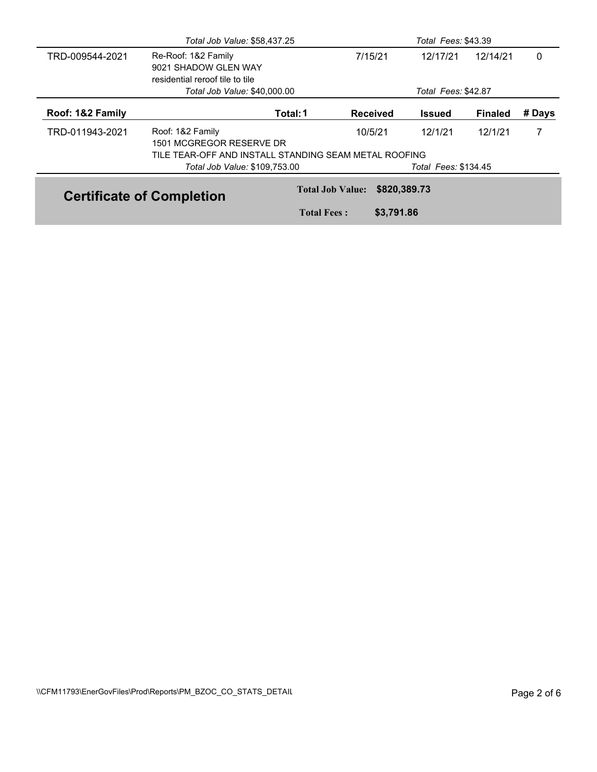|                  | Total Job Value: \$58,437.25                          |                         |                 | Total Fees: \$43.39  |                |        |  |
|------------------|-------------------------------------------------------|-------------------------|-----------------|----------------------|----------------|--------|--|
| TRD-009544-2021  | Re-Roof: 1&2 Family<br>9021 SHADOW GLEN WAY           |                         | 7/15/21         | 12/17/21             | 12/14/21       | 0      |  |
|                  | residential reroof tile to tile                       |                         |                 |                      |                |        |  |
|                  | Total Job Value: \$40,000.00                          |                         |                 | Total Fees: \$42.87  |                |        |  |
| Roof: 1&2 Family |                                                       | Total: 1                | <b>Received</b> | <b>Issued</b>        | <b>Finaled</b> | # Days |  |
| TRD-011943-2021  | Roof: 1&2 Family<br>1501 MCGREGOR RESERVE DR          |                         | 10/5/21         | 12/1/21              | 12/1/21        | 7      |  |
|                  | TILE TEAR-OFF AND INSTALL STANDING SEAM METAL ROOFING |                         |                 |                      |                |        |  |
|                  | Total Job Value: \$109,753.00                         |                         |                 | Total Fees: \$134.45 |                |        |  |
|                  | <b>Certificate of Completion</b>                      | <b>Total Job Value:</b> | \$820,389,73    |                      |                |        |  |
|                  |                                                       | <b>Total Fees:</b>      | \$3,791.86      |                      |                |        |  |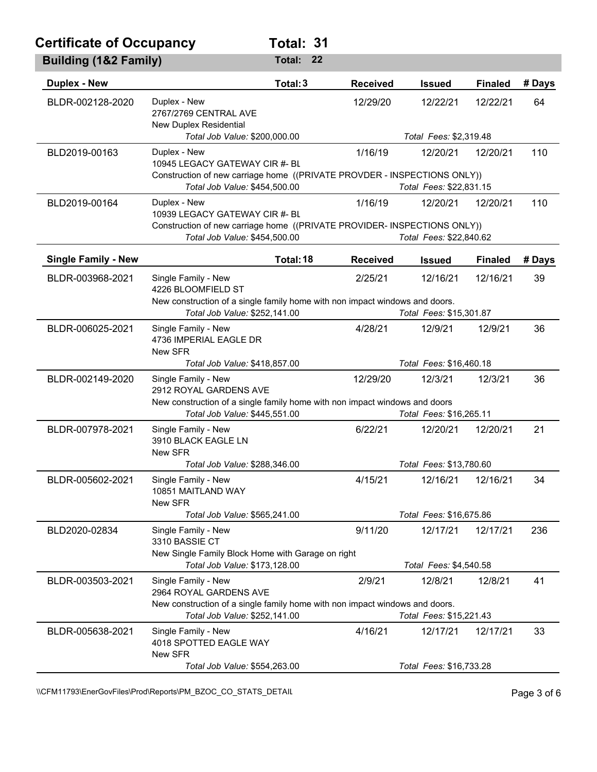## **Certificate of Occupancy Total: 31**

| Building (1&2 Family)      |                                                                                                                                             | Total:<br>22 |                 |                                    |                |        |
|----------------------------|---------------------------------------------------------------------------------------------------------------------------------------------|--------------|-----------------|------------------------------------|----------------|--------|
| <b>Duplex - New</b>        |                                                                                                                                             | Total: 3     | <b>Received</b> | <b>Issued</b>                      | <b>Finaled</b> | # Days |
| BLDR-002128-2020           | Duplex - New<br>2767/2769 CENTRAL AVE<br><b>New Duplex Residential</b><br>Total Job Value: \$200,000.00                                     |              | 12/29/20        | 12/22/21<br>Total Fees: \$2,319.48 | 12/22/21       | 64     |
| BLD2019-00163              | Duplex - New                                                                                                                                |              | 1/16/19         | 12/20/21                           | 12/20/21       | 110    |
|                            | 10945 LEGACY GATEWAY CIR #- BL<br>Construction of new carriage home ((PRIVATE PROVDER - INSPECTIONS ONLY))<br>Total Job Value: \$454,500.00 |              |                 | Total Fees: \$22,831.15            |                |        |
| BLD2019-00164              | Duplex - New<br>10939 LEGACY GATEWAY CIR #- BL<br>Construction of new carriage home ((PRIVATE PROVIDER- INSPECTIONS ONLY))                  |              | 1/16/19         | 12/20/21                           | 12/20/21       | 110    |
|                            | Total Job Value: \$454,500.00                                                                                                               |              |                 | Total Fees: \$22,840.62            |                |        |
| <b>Single Family - New</b> |                                                                                                                                             | Total: 18    | <b>Received</b> | <b>Issued</b>                      | <b>Finaled</b> | # Days |
| BLDR-003968-2021           | Single Family - New<br>4226 BLOOMFIELD ST                                                                                                   |              | 2/25/21         | 12/16/21                           | 12/16/21       | 39     |
|                            | New construction of a single family home with non impact windows and doors.<br>Total Job Value: \$252,141.00                                |              |                 | Total Fees: \$15,301.87            |                |        |
| BLDR-006025-2021           | Single Family - New<br>4736 IMPERIAL EAGLE DR<br>New SFR                                                                                    |              | 4/28/21         | 12/9/21                            | 12/9/21        | 36     |
|                            | Total Job Value: \$418,857.00                                                                                                               |              |                 | Total Fees: \$16,460.18            |                |        |
| BLDR-002149-2020           | Single Family - New<br>2912 ROYAL GARDENS AVE                                                                                               |              | 12/29/20        | 12/3/21                            | 12/3/21        | 36     |
|                            | New construction of a single family home with non impact windows and doors<br>Total Job Value: \$445,551.00                                 |              |                 | Total Fees: \$16,265.11            |                |        |
| BLDR-007978-2021           | Single Family - New<br>3910 BLACK EAGLE LN<br>New SFR                                                                                       |              | 6/22/21         | 12/20/21                           | 12/20/21       | 21     |
|                            | Total Job Value: \$288,346.00                                                                                                               |              |                 | Total Fees: \$13,780.60            |                |        |
| BLDR-005602-2021           | Single Family - New<br>10851 MAITLAND WAY<br>New SFR                                                                                        |              | 4/15/21         | 12/16/21                           | 12/16/21       | 34     |
|                            | Total Job Value: \$565,241.00                                                                                                               |              |                 | Total Fees: \$16,675.86            |                |        |
| BLD2020-02834              | Single Family - New<br>3310 BASSIE CT<br>New Single Family Block Home with Garage on right                                                  |              | 9/11/20         | 12/17/21                           | 12/17/21       | 236    |
|                            | Total Job Value: \$173,128.00                                                                                                               |              |                 | Total Fees: \$4,540.58             |                |        |
| BLDR-003503-2021           | Single Family - New<br>2964 ROYAL GARDENS AVE<br>New construction of a single family home with non impact windows and doors.                |              | 2/9/21          | 12/8/21                            | 12/8/21        | 41     |
|                            | Total Job Value: \$252,141.00                                                                                                               |              |                 | Total Fees: \$15,221.43            |                |        |
| BLDR-005638-2021           | Single Family - New<br>4018 SPOTTED EAGLE WAY<br>New SFR                                                                                    |              | 4/16/21         | 12/17/21                           | 12/17/21       | 33     |
|                            | Total Job Value: \$554,263.00                                                                                                               |              |                 | Total Fees: \$16,733.28            |                |        |
|                            |                                                                                                                                             |              |                 |                                    |                |        |

\\CFM11793\EnerGovFiles\Prod\Reports\PM\_BZOC\_CO\_STATS\_DETAIL\PhysicalCritics\PM\_BZOC\_CO\_STATS\_DETAIL\PhysicalCritics\PM\_BZOC\_CO\_STATS\_DETAIL\PhysicalCritics\PM\_BZOC\_CO\_STATS\_DETAIL\PhysicalCritics\PM\_BZOC\_CO\_STATS\_DETAIL\P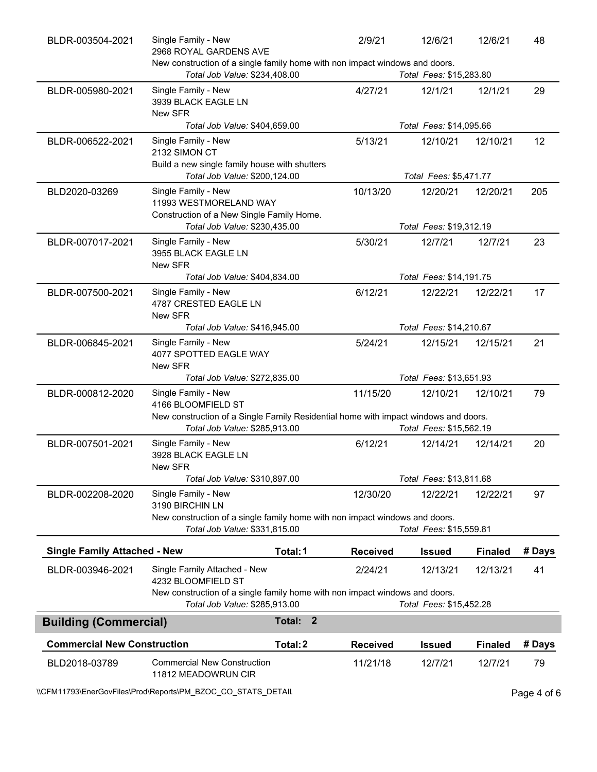| BLDR-003504-2021                    | Single Family - New<br>2968 ROYAL GARDENS AVE                                                                        |                                                          | 2/9/21          | 12/6/21                 | 12/6/21        | 48     |
|-------------------------------------|----------------------------------------------------------------------------------------------------------------------|----------------------------------------------------------|-----------------|-------------------------|----------------|--------|
|                                     | New construction of a single family home with non impact windows and doors.<br>Total Job Value: \$234,408.00         |                                                          |                 | Total Fees: \$15,283.80 |                |        |
| BLDR-005980-2021                    | Single Family - New<br>3939 BLACK EAGLE LN<br>New SFR                                                                |                                                          | 4/27/21         | 12/1/21                 | 12/1/21        | 29     |
|                                     | Total Job Value: \$404,659.00                                                                                        |                                                          |                 | Total Fees: \$14,095.66 |                |        |
| BLDR-006522-2021                    | Single Family - New<br>2132 SIMON CT                                                                                 |                                                          | 5/13/21         | 12/10/21                | 12/10/21       | 12     |
|                                     | Build a new single family house with shutters<br>Total Job Value: \$200,124.00                                       |                                                          |                 | Total Fees: \$5,471.77  |                |        |
| BLD2020-03269                       | Single Family - New<br>11993 WESTMORELAND WAY<br>Construction of a New Single Family Home.                           |                                                          | 10/13/20        | 12/20/21                | 12/20/21       | 205    |
|                                     | Total Job Value: \$230,435.00                                                                                        |                                                          |                 | Total Fees: \$19,312.19 |                |        |
| BLDR-007017-2021                    | Single Family - New<br>3955 BLACK EAGLE LN<br>New SFR                                                                |                                                          | 5/30/21         | 12/7/21                 | 12/7/21        | 23     |
|                                     |                                                                                                                      | Total Job Value: \$404,834.00<br>Total Fees: \$14,191.75 |                 |                         |                |        |
| BLDR-007500-2021                    | Single Family - New<br>4787 CRESTED EAGLE LN<br>New SFR                                                              |                                                          | 6/12/21         | 12/22/21                | 12/22/21       | 17     |
|                                     | Total Job Value: \$416,945.00                                                                                        |                                                          |                 | Total Fees: \$14,210.67 |                |        |
| BLDR-006845-2021                    | Single Family - New<br>4077 SPOTTED EAGLE WAY<br>New SFR                                                             |                                                          | 5/24/21         | 12/15/21                | 12/15/21       | 21     |
|                                     | Total Job Value: \$272,835.00                                                                                        |                                                          |                 | Total Fees: \$13,651.93 |                |        |
| BLDR-000812-2020                    | Single Family - New<br>4166 BLOOMFIELD ST                                                                            |                                                          | 11/15/20        | 12/10/21                | 12/10/21       | 79     |
|                                     | New construction of a Single Family Residential home with impact windows and doors.<br>Total Job Value: \$285,913.00 |                                                          |                 | Total Fees: \$15,562.19 |                |        |
| BLDR-007501-2021                    | Single Family - New<br>3928 BLACK EAGLE LN<br>New SFR                                                                |                                                          | 6/12/21         | 12/14/21                | 12/14/21       | 20     |
|                                     | Total Job Value: \$310,897.00                                                                                        |                                                          |                 | Total Fees: \$13,811.68 |                |        |
| BLDR-002208-2020                    | Single Family - New<br>3190 BIRCHIN LN                                                                               |                                                          | 12/30/20        | 12/22/21                | 12/22/21       | 97     |
|                                     | New construction of a single family home with non impact windows and doors.<br>Total Job Value: \$331,815.00         |                                                          |                 | Total Fees: \$15,559.81 |                |        |
| <b>Single Family Attached - New</b> |                                                                                                                      | Total: 1                                                 | <b>Received</b> | <b>Issued</b>           | <b>Finaled</b> | # Days |
| BLDR-003946-2021                    | Single Family Attached - New<br>4232 BLOOMFIELD ST                                                                   |                                                          | 2/24/21         | 12/13/21                | 12/13/21       | 41     |
|                                     | New construction of a single family home with non impact windows and doors.<br>Total Job Value: \$285,913.00         |                                                          |                 | Total Fees: \$15,452.28 |                |        |
| <b>Building (Commercial)</b>        |                                                                                                                      | $\overline{2}$<br>Total:                                 |                 |                         |                |        |
| <b>Commercial New Construction</b>  |                                                                                                                      | Total: 2                                                 | <b>Received</b> | <b>Issued</b>           | <b>Finaled</b> | # Days |
| BLD2018-03789                       | <b>Commercial New Construction</b><br>11812 MEADOWRUN CIR                                                            |                                                          | 11/21/18        | 12/7/21                 | 12/7/21        | 79     |

\\CFM11793\EnerGovFiles\Prod\Reports\PM\_BZOC\_CO\_STATS\_DETAIL\PhysicalCritic Page 4 of 6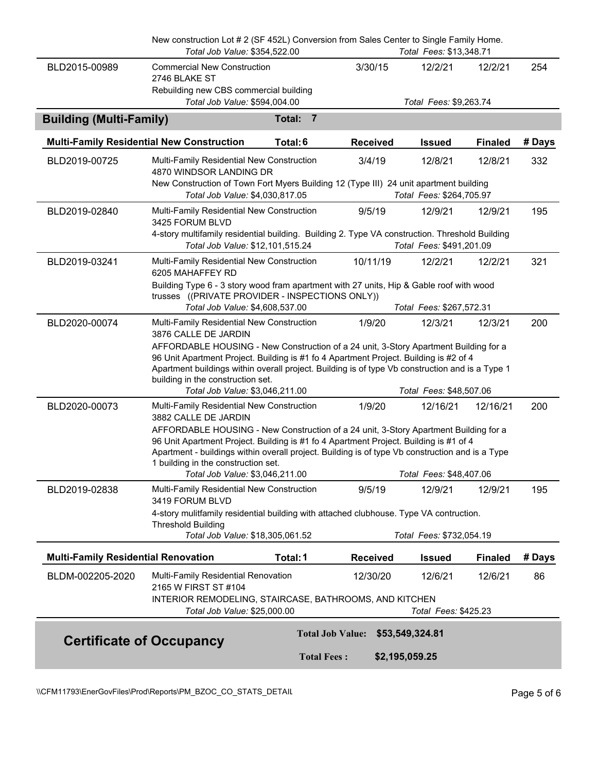|                                            | Total Job Value: \$354,522.00                                                                                                                                                                                                                                                                                                                                                                                                  |                          | New construction Lot # 2 (SF 452L) Conversion from Sales Center to Single Family Home.<br>Total Fees: \$13,348.71 |                                     |                |        |  |
|--------------------------------------------|--------------------------------------------------------------------------------------------------------------------------------------------------------------------------------------------------------------------------------------------------------------------------------------------------------------------------------------------------------------------------------------------------------------------------------|--------------------------|-------------------------------------------------------------------------------------------------------------------|-------------------------------------|----------------|--------|--|
| BLD2015-00989                              | <b>Commercial New Construction</b><br>2746 BLAKE ST<br>Rebuilding new CBS commercial building                                                                                                                                                                                                                                                                                                                                  |                          | 3/30/15                                                                                                           | 12/2/21                             | 12/2/21        | 254    |  |
|                                            | Total Job Value: \$594,004.00                                                                                                                                                                                                                                                                                                                                                                                                  |                          |                                                                                                                   | Total Fees: \$9,263.74              |                |        |  |
| <b>Building (Multi-Family)</b>             |                                                                                                                                                                                                                                                                                                                                                                                                                                | $\overline{7}$<br>Total: |                                                                                                                   |                                     |                |        |  |
|                                            | <b>Multi-Family Residential New Construction</b>                                                                                                                                                                                                                                                                                                                                                                               | Total: 6                 | <b>Received</b>                                                                                                   | <b>Issued</b>                       | <b>Finaled</b> | # Days |  |
| BLD2019-00725                              | Multi-Family Residential New Construction<br>4870 WINDSOR LANDING DR<br>New Construction of Town Fort Myers Building 12 (Type III) 24 unit apartment building<br>Total Job Value: \$4,030,817.05                                                                                                                                                                                                                               |                          | 3/4/19                                                                                                            | 12/8/21<br>Total Fees: \$264,705.97 | 12/8/21        | 332    |  |
| BLD2019-02840                              | Multi-Family Residential New Construction<br>3425 FORUM BLVD                                                                                                                                                                                                                                                                                                                                                                   |                          | 9/5/19                                                                                                            | 12/9/21                             | 12/9/21        | 195    |  |
|                                            | 4-story multifamily residential building. Building 2. Type VA construction. Threshold Building<br>Total Job Value: \$12,101,515.24                                                                                                                                                                                                                                                                                             |                          |                                                                                                                   | Total Fees: \$491,201.09            |                |        |  |
| BLD2019-03241                              | Multi-Family Residential New Construction<br>6205 MAHAFFEY RD                                                                                                                                                                                                                                                                                                                                                                  |                          | 10/11/19                                                                                                          | 12/2/21                             | 12/2/21        | 321    |  |
|                                            | Building Type 6 - 3 story wood fram apartment with 27 units, Hip & Gable roof with wood<br>trusses ((PRIVATE PROVIDER - INSPECTIONS ONLY))<br>Total Job Value: \$4,608,537.00                                                                                                                                                                                                                                                  |                          |                                                                                                                   | Total Fees: \$267,572.31            |                |        |  |
| BLD2020-00074                              | Multi-Family Residential New Construction                                                                                                                                                                                                                                                                                                                                                                                      |                          | 1/9/20                                                                                                            | 12/3/21                             | 12/3/21        | 200    |  |
|                                            | 3876 CALLE DE JARDIN<br>AFFORDABLE HOUSING - New Construction of a 24 unit, 3-Story Apartment Building for a<br>96 Unit Apartment Project. Building is #1 fo 4 Apartment Project. Building is #2 of 4<br>Apartment buildings within overall project. Building is of type Vb construction and is a Type 1<br>building in the construction set.                                                                                  |                          |                                                                                                                   |                                     |                |        |  |
|                                            | Total Job Value: \$3,046,211.00                                                                                                                                                                                                                                                                                                                                                                                                |                          |                                                                                                                   | Total Fees: \$48,507.06             |                |        |  |
| BLD2020-00073                              | 1/9/20<br>Multi-Family Residential New Construction<br>12/16/21<br>12/16/21<br>3882 CALLE DE JARDIN<br>AFFORDABLE HOUSING - New Construction of a 24 unit, 3-Story Apartment Building for a<br>96 Unit Apartment Project. Building is #1 fo 4 Apartment Project. Building is #1 of 4<br>Apartment - buildings within overall project. Building is of type Vb construction and is a Type<br>1 building in the construction set. |                          |                                                                                                                   |                                     |                | 200    |  |
|                                            | Total Job Value: \$3,046,211.00                                                                                                                                                                                                                                                                                                                                                                                                |                          |                                                                                                                   | Total Fees: \$48,407.06             |                |        |  |
| BLD2019-02838                              | 9/5/19<br>12/9/21<br>12/9/21<br>195<br>Multi-Family Residential New Construction<br>3419 FORUM BLVD<br>4-story mulitfamily residential building with attached clubhouse. Type VA contruction.<br><b>Threshold Building</b>                                                                                                                                                                                                     |                          |                                                                                                                   |                                     |                |        |  |
| Total Job Value: \$18,305,061.52           |                                                                                                                                                                                                                                                                                                                                                                                                                                |                          | Total Fees: \$732,054.19                                                                                          |                                     |                |        |  |
| <b>Multi-Family Residential Renovation</b> |                                                                                                                                                                                                                                                                                                                                                                                                                                | Total: 1                 | <b>Received</b>                                                                                                   | <b>Issued</b>                       | <b>Finaled</b> | # Days |  |
| BLDM-002205-2020                           | Multi-Family Residential Renovation<br>2165 W FIRST ST #104<br>INTERIOR REMODELING, STAIRCASE, BATHROOMS, AND KITCHEN<br>Total Job Value: \$25,000.00                                                                                                                                                                                                                                                                          |                          | 12/30/20                                                                                                          | 12/6/21<br>Total Fees: \$425.23     | 12/6/21        | 86     |  |
|                                            | <b>Certificate of Occupancy</b>                                                                                                                                                                                                                                                                                                                                                                                                |                          | <b>Total Job Value:</b>                                                                                           | \$53,549,324.81                     |                |        |  |
|                                            |                                                                                                                                                                                                                                                                                                                                                                                                                                | <b>Total Fees:</b>       | \$2,195,059.25                                                                                                    |                                     |                |        |  |